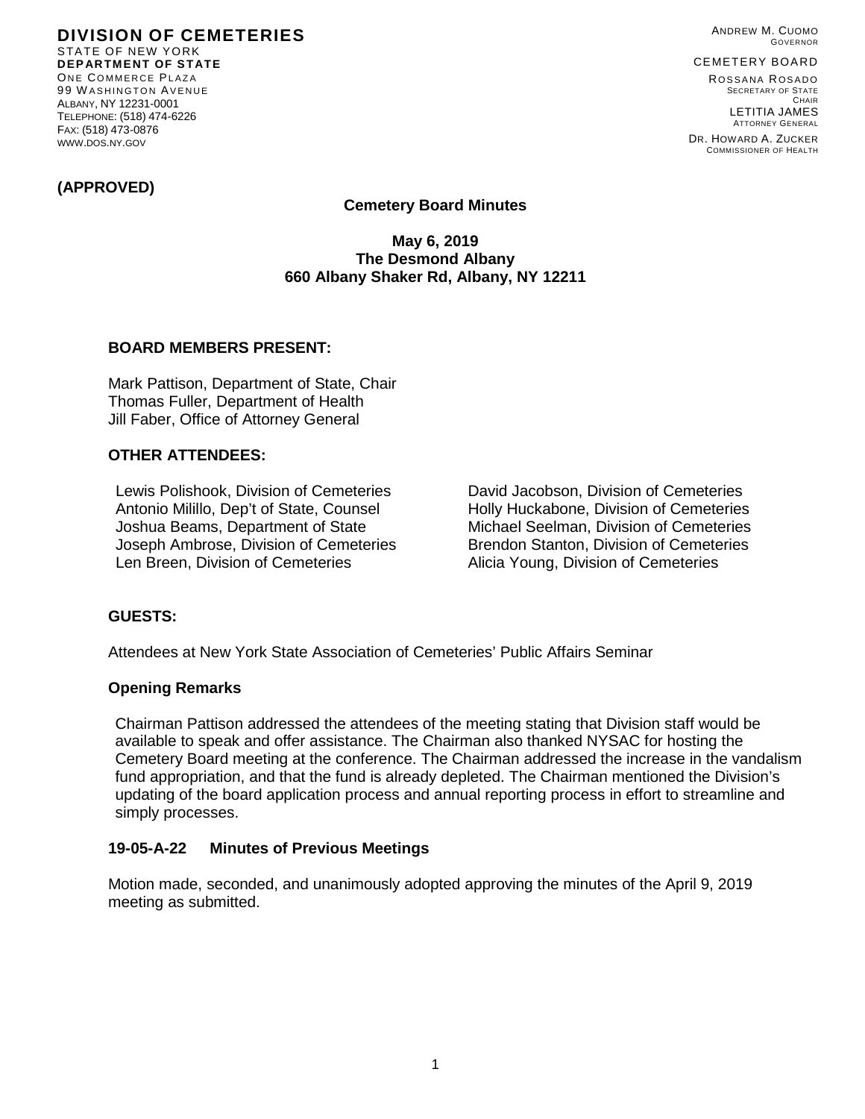**DIVISION OF CEMETERIES** STATE OF NEW YORK **DEPARTMENT OF STATE** ONE COMMERCE PLAZA 99 W ASHINGTON AVENUE ALBANY, NY 12231-0001 TELEPHONE: (518) 474-6226 FAX: (518) 473-0876 WWW.DOS.NY.GOV

ANDREW M. CUOMO GOVERNOR

#### CEMETERY BOARD

ROSSANA ROSADO SECRETARY OF STATE CHAIR LETITIA JAMES ATTORNEY GENERAL

DR. HOWARD A. ZUCKER COMMISSIONER OF HEALTH

## **(APPROVED)**

## **Cemetery Board Minutes**

**May 6, 2019 The Desmond Albany 660 Albany Shaker Rd, Albany, NY 12211**

### **BOARD MEMBERS PRESENT:**

Mark Pattison, Department of State, Chair Thomas Fuller, Department of Health Jill Faber, Office of Attorney General

## **OTHER ATTENDEES:**

Lewis Polishook, Division of Cemeteries David Jacobson, Division of Cemeteries Antonio Milillo, Dep't of State, Counsel **Holly Huckabone, Division of Cemeteries** Joshua Beams, Department of State Michael Seelman, Division of Cemeteries Joseph Ambrose, Division of Cemeteries Brendon Stanton, Division of Cemeteries Len Breen, Division of Cemeteries **Alicia Young, Division of Cemeteries** 

### **GUESTS:**

Attendees at New York State Association of Cemeteries' Public Affairs Seminar

### **Opening Remarks**

Chairman Pattison addressed the attendees of the meeting stating that Division staff would be available to speak and offer assistance. The Chairman also thanked NYSAC for hosting the Cemetery Board meeting at the conference. The Chairman addressed the increase in the vandalism fund appropriation, and that the fund is already depleted. The Chairman mentioned the Division's updating of the board application process and annual reporting process in effort to streamline and simply processes.

### **19-05-A-22 Minutes of Previous Meetings**

Motion made, seconded, and unanimously adopted approving the minutes of the April 9, 2019 meeting as submitted.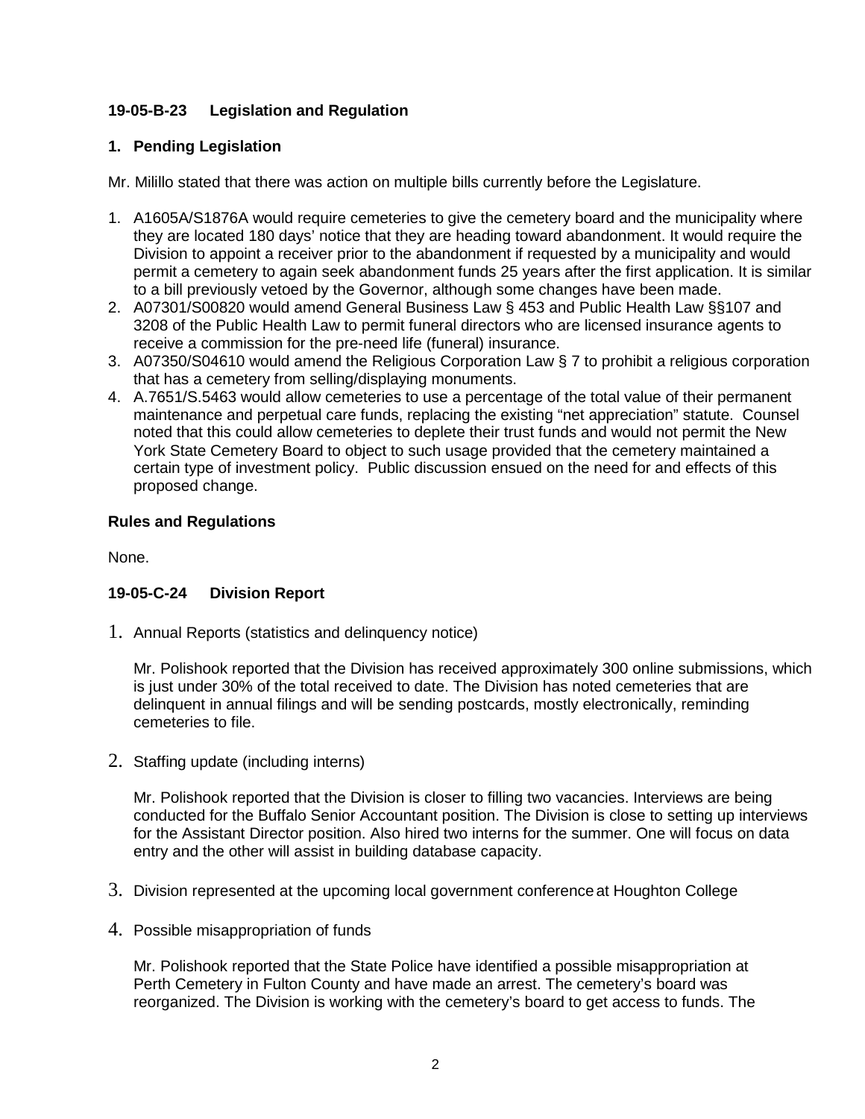# **19-05-B-23 Legislation and Regulation**

## **1. Pending Legislation**

Mr. Milillo stated that there was action on multiple bills currently before the Legislature.

- 1. A1605A/S1876A would require cemeteries to give the cemetery board and the municipality where they are located 180 days' notice that they are heading toward abandonment. It would require the Division to appoint a receiver prior to the abandonment if requested by a municipality and would permit a cemetery to again seek abandonment funds 25 years after the first application. It is similar to a bill previously vetoed by the Governor, although some changes have been made.
- 2. A07301/S00820 would amend General Business Law § 453 and Public Health Law §§107 and 3208 of the Public Health Law to permit funeral directors who are licensed insurance agents to receive a commission for the pre-need life (funeral) insurance.
- 3. A07350/S04610 would amend the Religious Corporation Law § 7 to prohibit a religious corporation that has a cemetery from selling/displaying monuments.
- 4. A.7651/S.5463 would allow cemeteries to use a percentage of the total value of their permanent maintenance and perpetual care funds, replacing the existing "net appreciation" statute. Counsel noted that this could allow cemeteries to deplete their trust funds and would not permit the New York State Cemetery Board to object to such usage provided that the cemetery maintained a certain type of investment policy. Public discussion ensued on the need for and effects of this proposed change.

## **Rules and Regulations**

None.

# **19-05-C-24 Division Report**

1. Annual Reports (statistics and delinquency notice)

Mr. Polishook reported that the Division has received approximately 300 online submissions, which is just under 30% of the total received to date. The Division has noted cemeteries that are delinquent in annual filings and will be sending postcards, mostly electronically, reminding cemeteries to file.

2. Staffing update (including interns)

Mr. Polishook reported that the Division is closer to filling two vacancies. Interviews are being conducted for the Buffalo Senior Accountant position. The Division is close to setting up interviews for the Assistant Director position. Also hired two interns for the summer. One will focus on data entry and the other will assist in building database capacity.

- 3. Division represented at the upcoming local government conferenceat Houghton College
- 4. Possible misappropriation of funds

Mr. Polishook reported that the State Police have identified a possible misappropriation at Perth Cemetery in Fulton County and have made an arrest. The cemetery's board was reorganized. The Division is working with the cemetery's board to get access to funds. The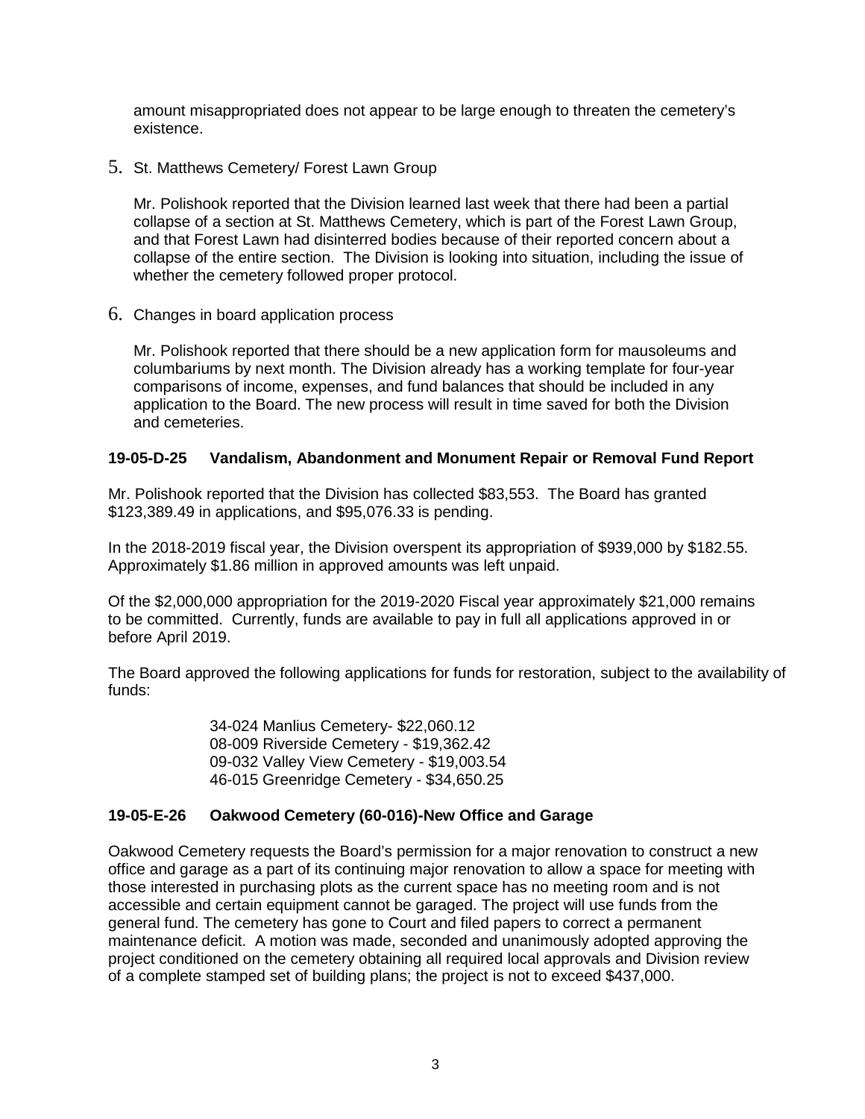amount misappropriated does not appear to be large enough to threaten the cemetery's existence.

5. St. Matthews Cemetery/ Forest Lawn Group

Mr. Polishook reported that the Division learned last week that there had been a partial collapse of a section at St. Matthews Cemetery, which is part of the Forest Lawn Group, and that Forest Lawn had disinterred bodies because of their reported concern about a collapse of the entire section. The Division is looking into situation, including the issue of whether the cemetery followed proper protocol.

6. Changes in board application process

Mr. Polishook reported that there should be a new application form for mausoleums and columbariums by next month. The Division already has a working template for four-year comparisons of income, expenses, and fund balances that should be included in any application to the Board. The new process will result in time saved for both the Division and cemeteries.

## **19-05-D-25 Vandalism, Abandonment and Monument Repair or Removal Fund Report**

Mr. Polishook reported that the Division has collected \$83,553. The Board has granted \$123,389.49 in applications, and \$95,076.33 is pending.

In the 2018-2019 fiscal year, the Division overspent its appropriation of \$939,000 by \$182.55. Approximately \$1.86 million in approved amounts was left unpaid.

Of the \$2,000,000 appropriation for the 2019-2020 Fiscal year approximately \$21,000 remains to be committed. Currently, funds are available to pay in full all applications approved in or before April 2019.

The Board approved the following applications for funds for restoration, subject to the availability of funds:

> 34-024 Manlius Cemetery- \$22,060.12 08-009 Riverside Cemetery - \$19,362.42 09-032 Valley View Cemetery - \$19,003.54 46-015 Greenridge Cemetery - \$34,650.25

## **19-05-E-26 Oakwood Cemetery (60-016)-New Office and Garage**

Oakwood Cemetery requests the Board's permission for a major renovation to construct a new office and garage as a part of its continuing major renovation to allow a space for meeting with those interested in purchasing plots as the current space has no meeting room and is not accessible and certain equipment cannot be garaged. The project will use funds from the general fund. The cemetery has gone to Court and filed papers to correct a permanent maintenance deficit. A motion was made, seconded and unanimously adopted approving the project conditioned on the cemetery obtaining all required local approvals and Division review of a complete stamped set of building plans; the project is not to exceed \$437,000.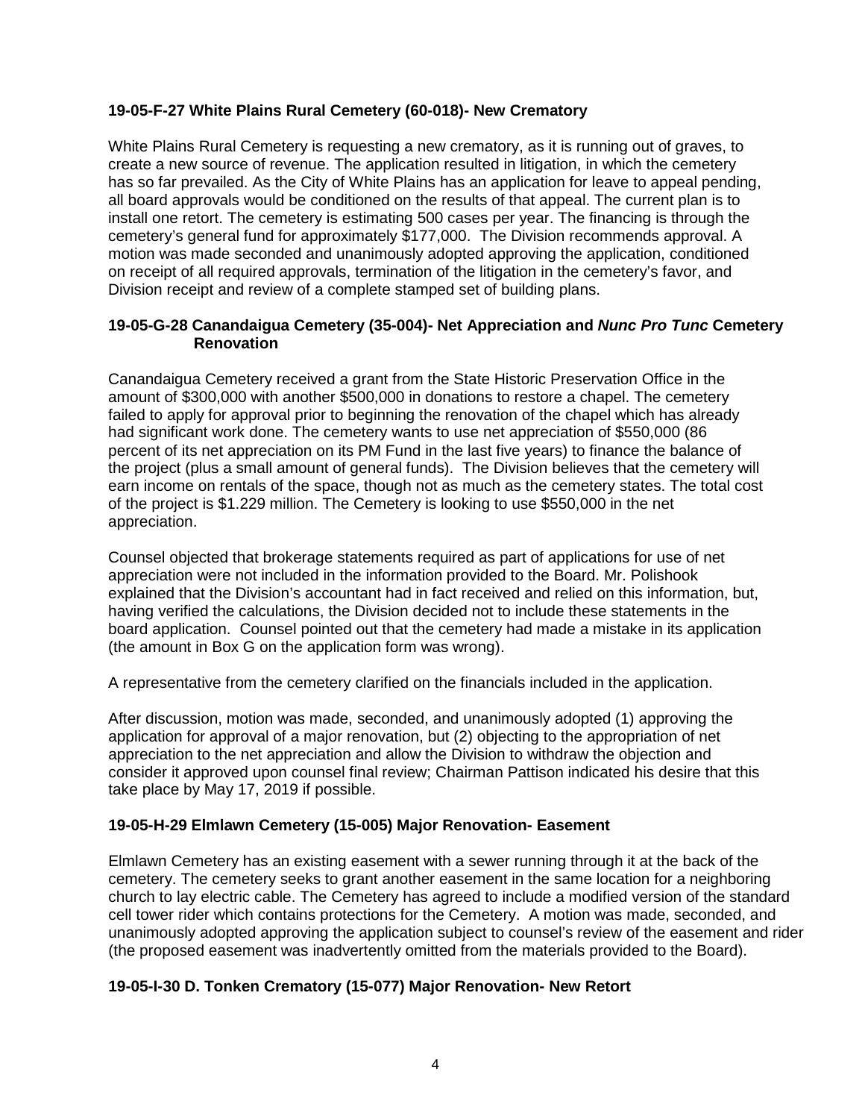## **19-05-F-27 White Plains Rural Cemetery (60-018)- New Crematory**

White Plains Rural Cemetery is requesting a new crematory, as it is running out of graves, to create a new source of revenue. The application resulted in litigation, in which the cemetery has so far prevailed. As the City of White Plains has an application for leave to appeal pending, all board approvals would be conditioned on the results of that appeal. The current plan is to install one retort. The cemetery is estimating 500 cases per year. The financing is through the cemetery's general fund for approximately \$177,000. The Division recommends approval. A motion was made seconded and unanimously adopted approving the application, conditioned on receipt of all required approvals, termination of the litigation in the cemetery's favor, and Division receipt and review of a complete stamped set of building plans.

## **19-05-G-28 Canandaigua Cemetery (35-004)- Net Appreciation and** *Nunc Pro Tunc* **Cemetery Renovation**

Canandaigua Cemetery received a grant from the State Historic Preservation Office in the amount of \$300,000 with another \$500,000 in donations to restore a chapel. The cemetery failed to apply for approval prior to beginning the renovation of the chapel which has already had significant work done. The cemetery wants to use net appreciation of \$550,000 (86 percent of its net appreciation on its PM Fund in the last five years) to finance the balance of the project (plus a small amount of general funds). The Division believes that the cemetery will earn income on rentals of the space, though not as much as the cemetery states. The total cost of the project is \$1.229 million. The Cemetery is looking to use \$550,000 in the net appreciation.

Counsel objected that brokerage statements required as part of applications for use of net appreciation were not included in the information provided to the Board. Mr. Polishook explained that the Division's accountant had in fact received and relied on this information, but, having verified the calculations, the Division decided not to include these statements in the board application. Counsel pointed out that the cemetery had made a mistake in its application (the amount in Box G on the application form was wrong).

A representative from the cemetery clarified on the financials included in the application.

After discussion, motion was made, seconded, and unanimously adopted (1) approving the application for approval of a major renovation, but (2) objecting to the appropriation of net appreciation to the net appreciation and allow the Division to withdraw the objection and consider it approved upon counsel final review; Chairman Pattison indicated his desire that this take place by May 17, 2019 if possible.

## **19-05-H-29 Elmlawn Cemetery (15-005) Major Renovation- Easement**

Elmlawn Cemetery has an existing easement with a sewer running through it at the back of the cemetery. The cemetery seeks to grant another easement in the same location for a neighboring church to lay electric cable. The Cemetery has agreed to include a modified version of the standard cell tower rider which contains protections for the Cemetery. A motion was made, seconded, and unanimously adopted approving the application subject to counsel's review of the easement and rider (the proposed easement was inadvertently omitted from the materials provided to the Board).

## **19-05-I-30 D. Tonken Crematory (15-077) Major Renovation- New Retort**